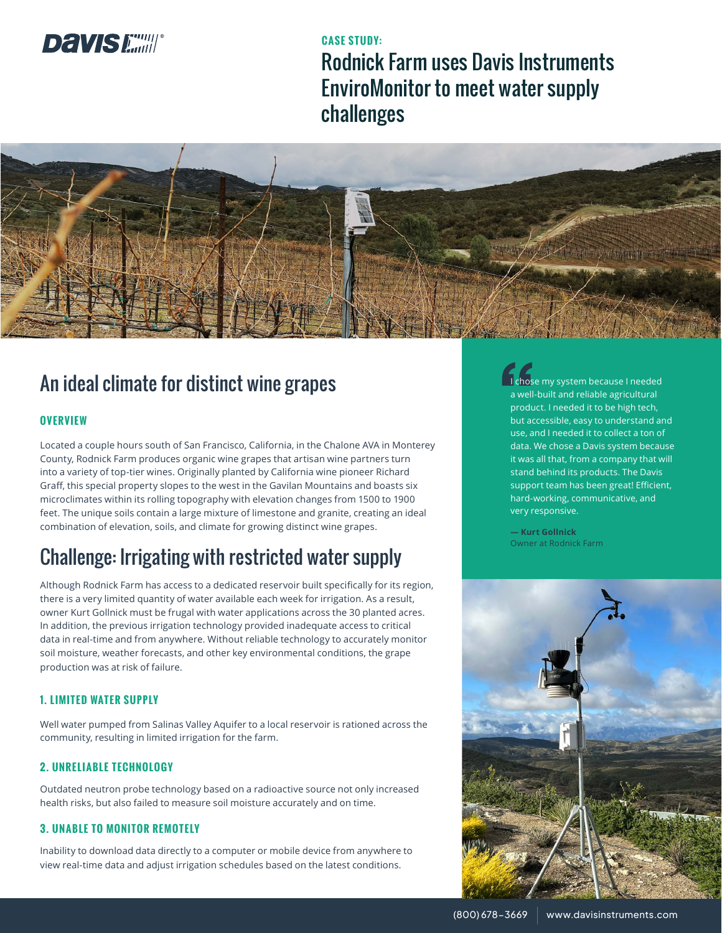

### **CASE STUDY:**

Rodnick Farm uses Davis Instruments EnviroMonitor to meet water supply challenges



## An ideal climate for distinct wine grapes

### **OVERVIEW**

Located a couple hours south of San Francisco, California, in the Chalone AVA in Monterey County, Rodnick Farm produces organic wine grapes that artisan wine partners turn into a variety of top-tier wines. Originally planted by California wine pioneer Richard Graff, this special property slopes to the west in the Gavilan Mountains and boasts six microclimates within its rolling topography with elevation changes from 1500 to 1900 feet. The unique soils contain a large mixture of limestone and granite, creating an ideal combination of elevation, soils, and climate for growing distinct wine grapes.

## Challenge: Irrigating with restricted water supply

Although Rodnick Farm has access to a dedicated reservoir built specifically for its region, there is a very limited quantity of water available each week for irrigation. As a result, owner Kurt Gollnick must be frugal with water applications across the 30 planted acres. In addition, the previous irrigation technology provided inadequate access to critical data in real-time and from anywhere. Without reliable technology to accurately monitor soil moisture, weather forecasts, and other key environmental conditions, the grape production was at risk of failure.

### **1. LIMITED WATER SUPPLY**

Well water pumped from Salinas Valley Aquifer to a local reservoir is rationed across the community, resulting in limited irrigation for the farm.

### **2. UNRELIABLE TECHNOLOGY**

Outdated neutron probe technology based on a radioactive source not only increased health risks, but also failed to measure soil moisture accurately and on time.

### **3. UNABLE TO MONITOR REMOTELY**

Inability to download data directly to a computer or mobile device from anywhere to view real-time data and adjust irrigation schedules based on the latest conditions.

**Those**<br>
a well-b<br>
produc<br>
but acc<br>
use, an I chose my system because I needed a well-built and reliable agricultural product. I needed it to be high tech, but accessible, easy to understand and use, and I needed it to collect a ton of data. We chose a Davis system because it was all that, from a company that will stand behind its products. The Davis support team has been great! Efficient, hard-working, communicative, and very responsive.

**— Kurt Gollnick** Owner at Rodnick Farm